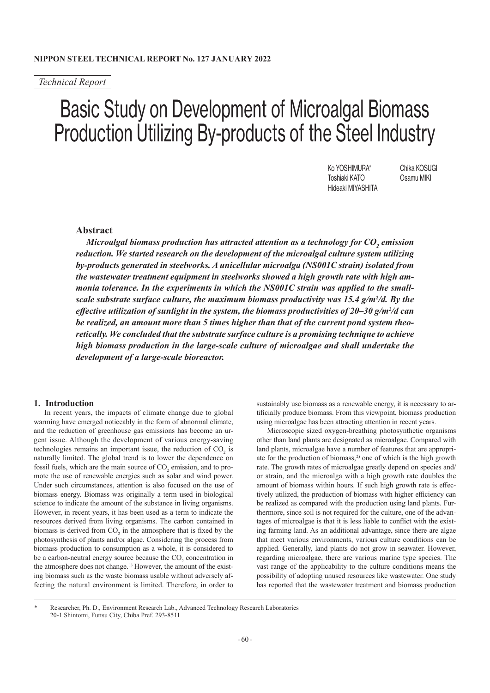# *Technical Report*

# Basic Study on Development of Microalgal Biomass Production Utilizing By-products of the Steel Industry

Ko YOSHIMURA\* Chika KOSUGI Toshiaki KATO Osamu MIKI Hideaki MIYASHITA

# **Abstract**

 $Microlgal~biomass~production~has~attracted~attention~as~a~technology~for~CO_{_2}~emission~$ *reduction. We started research on the development of the microalgal culture system utilizing by-products generated in steelworks. A unicellular microalga (NS001C strain) isolated from the wastewater treatment equipment in steelworks showed a high growth rate with high ammonia tolerance. In the experiments in which the NS001C strain was applied to the smallscale substrate surface culture, the maximum biomass productivity was 15.4 g/m<sup>2</sup>/d. By the* effective utilization of sunlight in the system, the biomass productivities of 20–30 g/m<sup>2</sup>/d can *be realized, an amount more than 5 times higher than that of the current pond system theoretically. We concluded that the substrate surface culture is a promising technique to achieve high biomass production in the large-scale culture of microalgae and shall undertake the development of a large-scale bioreactor.*

## **1. Introduction**

In recent years, the impacts of climate change due to global warming have emerged noticeably in the form of abnormal climate, and the reduction of greenhouse gas emissions has become an urgent issue. Although the development of various energy-saving technologies remains an important issue, the reduction of  $CO<sub>2</sub>$  is naturally limited. The global trend is to lower the dependence on fossil fuels, which are the main source of  $CO_2$  emission, and to promote the use of renewable energies such as solar and wind power. Under such circumstances, attention is also focused on the use of biomass energy. Biomass was originally a term used in biological science to indicate the amount of the substance in living organisms. However, in recent years, it has been used as a term to indicate the resources derived from living organisms. The carbon contained in biomass is derived from  $CO_2$  in the atmosphere that is fixed by the photosynthesis of plants and/or algae. Considering the process from biomass production to consumption as a whole, it is considered to be a carbon-neutral energy source because the  $CO_2$  concentration in the atmosphere does not change.<sup>1)</sup> However, the amount of the existing biomass such as the waste biomass usable without adversely affecting the natural environment is limited. Therefore, in order to

sustainably use biomass as a renewable energy, it is necessary to artificially produce biomass. From this viewpoint, biomass production using microalgae has been attracting attention in recent years.

Microscopic sized oxygen-breathing photosynthetic organisms other than land plants are designated as microalgae. Compared with land plants, microalgae have a number of features that are appropriate for the production of biomass,<sup>2)</sup> one of which is the high growth rate. The growth rates of microalgae greatly depend on species and/ or strain, and the microalga with a high growth rate doubles the amount of biomass within hours. If such high growth rate is effectively utilized, the production of biomass with higher efficiency can be realized as compared with the production using land plants. Furthermore, since soil is not required for the culture, one of the advantages of microalgae is that it is less liable to conflict with the existing farming land. As an additional advantage, since there are algae that meet various environments, various culture conditions can be applied. Generally, land plants do not grow in seawater. However, regarding microalgae, there are various marine type species. The vast range of the applicability to the culture conditions means the possibility of adopting unused resources like wastewater. One study has reported that the wastewater treatment and biomass production

<sup>\*</sup> Researcher, Ph. D., Environment Research Lab., Advanced Technology Research Laboratories 20-1 Shintomi, Futtsu City, Chiba Pref. 293-8511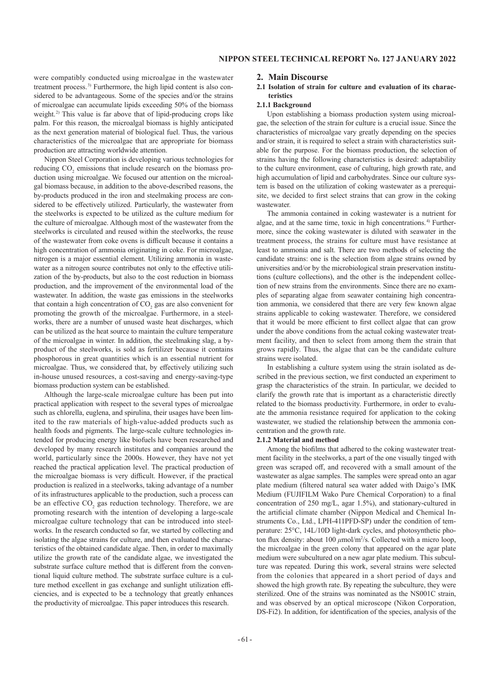were compatibly conducted using microalgae in the wastewater treatment process.3) Furthermore, the high lipid content is also considered to be advantageous. Some of the species and/or the strains of microalgae can accumulate lipids exceeding 50% of the biomass weight.2) This value is far above that of lipid-producing crops like palm. For this reason, the microalgal biomass is highly anticipated as the next generation material of biological fuel. Thus, the various characteristics of the microalgae that are appropriate for biomass production are attracting worldwide attention.

Nippon Steel Corporation is developing various technologies for reducing  $CO_2$  emissions that include research on the biomass production using microalgae. We focused our attention on the microalgal biomass because, in addition to the above-described reasons, the by-products produced in the iron and steelmaking process are considered to be effectively utilized. Particularly, the wastewater from the steelworks is expected to be utilized as the culture medium for the culture of microalgae. Although most of the wastewater from the steelworks is circulated and reused within the steelworks, the reuse of the wastewater from coke ovens is difficult because it contains a high concentration of ammonia originating in coke. For microalgae, nitrogen is a major essential element. Utilizing ammonia in wastewater as a nitrogen source contributes not only to the effective utilization of the by-products, but also to the cost reduction in biomass production, and the improvement of the environmental load of the wastewater. In addition, the waste gas emissions in the steelworks that contain a high concentration of  $CO_2$  gas are also convenient for promoting the growth of the microalgae. Furthermore, in a steelworks, there are a number of unused waste heat discharges, which can be utilized as the heat source to maintain the culture temperature of the microalgae in winter. In addition, the steelmaking slag, a byproduct of the steelworks, is sold as fertilizer because it contains phosphorous in great quantities which is an essential nutrient for microalgae. Thus, we considered that, by effectively utilizing such in-house unused resources, a cost-saving and energy-saving-type biomass production system can be established.

Although the large-scale microalgae culture has been put into practical application with respect to the several types of microalgae such as chlorella, euglena, and spirulina, their usages have been limited to the raw materials of high-value-added products such as health foods and pigments. The large-scale culture technologies intended for producing energy like biofuels have been researched and developed by many research institutes and companies around the world, particularly since the 2000s. However, they have not yet reached the practical application level. The practical production of the microalgae biomass is very difficult. However, if the practical production is realized in a steelworks, taking advantage of a number of its infrastructures applicable to the production, such a process can be an effective  $CO_2$  gas reduction technology. Therefore, we are promoting research with the intention of developing a large-scale microalgae culture technology that can be introduced into steelworks. In the research conducted so far, we started by collecting and isolating the algae strains for culture, and then evaluated the characteristics of the obtained candidate algae. Then, in order to maximally utilize the growth rate of the candidate algae, we investigated the substrate surface culture method that is different from the conventional liquid culture method. The substrate surface culture is a culture method excellent in gas exchange and sunlight utilization efficiencies, and is expected to be a technology that greatly enhances the productivity of microalgae. This paper introduces this research.

## **2. Main Discourse**

## **2.1 Isolation of strain for culture and evaluation of its characteristics**

#### **2.1.1 Background**

Upon establishing a biomass production system using microalgae, the selection of the strain for culture is a crucial issue. Since the characteristics of microalgae vary greatly depending on the species and/or strain, it is required to select a strain with characteristics suitable for the purpose. For the biomass production, the selection of strains having the following characteristics is desired: adaptability to the culture environment, ease of culturing, high growth rate, and high accumulation of lipid and carbohydrates. Since our culture system is based on the utilization of coking wastewater as a prerequisite, we decided to first select strains that can grow in the coking wastewater.

The ammonia contained in coking wastewater is a nutrient for algae, and at the same time, toxic in high concentrations.<sup>4)</sup> Furthermore, since the coking wastewater is diluted with seawater in the treatment process, the strains for culture must have resistance at least to ammonia and salt. There are two methods of selecting the candidate strains: one is the selection from algae strains owned by universities and/or by the microbiological strain preservation institutions (culture collections), and the other is the independent collection of new strains from the environments. Since there are no examples of separating algae from seawater containing high concentration ammonia, we considered that there are very few known algae strains applicable to coking wastewater. Therefore, we considered that it would be more efficient to first collect algae that can grow under the above conditions from the actual coking wastewater treatment facility, and then to select from among them the strain that grows rapidly. Thus, the algae that can be the candidate culture strains were isolated.

In establishing a culture system using the strain isolated as described in the previous section, we first conducted an experiment to grasp the characteristics of the strain. In particular, we decided to clarify the growth rate that is important as a characteristic directly related to the biomass productivity. Furthermore, in order to evaluate the ammonia resistance required for application to the coking wastewater, we studied the relationship between the ammonia concentration and the growth rate.

#### **2.1.2 Material and method**

Among the biofilms that adhered to the coking wastewater treatment facility in the steelworks, a part of the one visually tinged with green was scraped off, and recovered with a small amount of the wastewater as algae samples. The samples were spread onto an agar plate medium (filtered natural sea water added with Daigo's IMK Medium (FUJIFILM Wako Pure Chemical Corporation) to a final concentration of 250 mg/L, agar 1.5%), and stationary-cultured in the artificial climate chamber (Nippon Medical and Chemical Instruments Co., Ltd., LPH-411PFD-SP) under the condition of temperature: 25°C, 14L/10D light-dark cycles, and photosynthetic photon flux density: about 100 *μ*mol/m2 /s. Collected with a micro loop, the microalgae in the green colony that appeared on the agar plate medium were subcultured on a new agar plate medium. This subculture was repeated. During this work, several strains were selected from the colonies that appeared in a short period of days and showed the high growth rate. By repeating the subculture, they were sterilized. One of the strains was nominated as the NS001C strain, and was observed by an optical microscope (Nikon Corporation, DS-Fi2). In addition, for identification of the species, analysis of the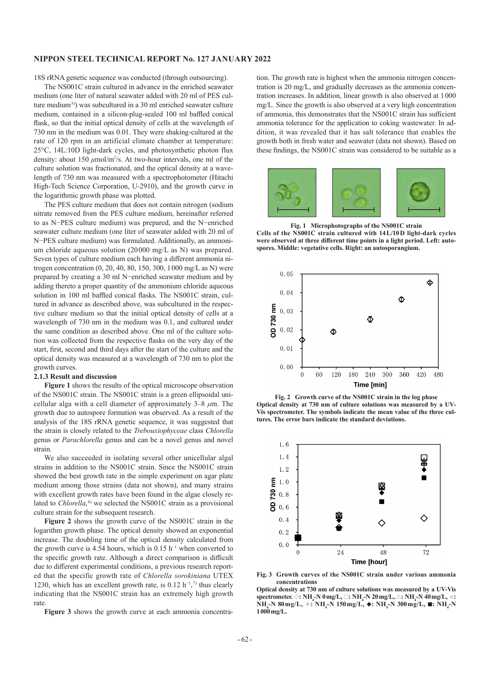## **NIPPON STEEL TECHNICAL REPORT No. 127 January 2022**

18S rRNA genetic sequence was conducted (through outsourcing).

The NS001C strain cultured in advance in the enriched seawater medium (one liter of natural seawater added with 20 ml of PES culture medium<sup>5)</sup>) was subcultured in a 30 ml enriched seawater culture medium, contained in a silicon-plug-sealed 100 ml baffled conical flask, so that the initial optical density of cells at the wavelength of 730 nm in the medium was 0.01. They were shaking-cultured at the rate of 120 rpm in an artificial climate chamber at temperature: 25°C, 14L:10D light-dark cycles, and photosynthetic photon flux density: about 150 *μ*mol/m<sup>2</sup>/s. At two-hour intervals, one ml of the culture solution was fractionated, and the optical density at a wavelength of 730 nm was measured with a spectrophotometer (Hitachi High-Tech Science Corporation, U-2910), and the growth curve in the logarithmic growth phase was plotted.

The PES culture medium that does not contain nitrogen (sodium nitrate removed from the PES culture medium, hereinafter referred to as N−PES culture medium) was prepared, and the N−enriched seawater culture medium (one liter of seawater added with 20 ml of N−PES culture medium) was formulated. Additionally, an ammonium chloride aqueous solution (20000 mg/L as N) was prepared. Seven types of culture medium each having a different ammonia nitrogen concentration (0, 20, 40, 80, 150, 300, 1000 mg/L as N) were prepared by creating a 30 ml N−enriched seawater medium and by adding thereto a proper quantity of the ammonium chloride aqueous solution in 100 ml baffled conical flasks. The NS001C strain, cultured in advance as described above, was subcultured in the respective culture medium so that the initial optical density of cells at a wavelength of 730 nm in the medium was 0.1, and cultured under the same condition as described above. One ml of the culture solution was collected from the respective flasks on the very day of the start, first, second and third days after the start of the culture and the optical density was measured at a wavelength of 730 nm to plot the growth curves.

## **2.1.3 Result and discussion**

**Figure 1** shows the results of the optical microscope observation of the NS001C strain. The NS001C strain is a green ellipsoidal unicellular alga with a cell diameter of approximately 3–8 *μ*m. The growth due to autospore formation was observed. As a result of the analysis of the 18S rRNA genetic sequence, it was suggested that the strain is closely related to the *Trebouxiophyceae* class *Chlorella* genus or *Parachlorella* genus and can be a novel genus and novel strain.

We also succeeded in isolating several other unicellular algal strains in addition to the NS001C strain. Since the NS001C strain showed the best growth rate in the simple experiment on agar plate medium among those strains (data not shown), and many strains with excellent growth rates have been found in the algae closely related to *Chlorella*, 6) we selected the NS001C strain as a provisional culture strain for the subsequent research.

**Figure 2** shows the growth curve of the NS001C strain in the logarithm growth phase. The optical density showed an exponential increase. The doubling time of the optical density calculated from the growth curve is 4.54 hours, which is 0.15 h<sup>-1</sup> when converted to the specific growth rate. Although a direct comparison is difficult due to different experimental conditions, a previous research reported that the specific growth rate of *Chlorella sorokiniana* UTEX 1230, which has an excellent growth rate, is  $0.12 \text{ h}^{-1}$ ,<sup>7)</sup> thus clearly indicating that the NS001C strain has an extremely high growth rate.

**Figure 3** shows the growth curve at each ammonia concentra-

tion. The growth rate is highest when the ammonia nitrogen concentration is 20 mg/L, and gradually decreases as the ammonia concentration increases. In addition, linear growth is also observed at 1000 mg/L. Since the growth is also observed at a very high concentration of ammonia, this demonstrates that the NS001C strain has sufficient ammonia tolerance for the application to coking wastewater. In addition, it was revealed that it has salt tolerance that enables the growth both in fresh water and seawater (data not shown). Based on these findings, the NS001C strain was considered to be suitable as a



**Fig. 1 Microphotographs of the NS001C strain Cells of the NS001C strain cultured with 14L/10D light-dark cycles were observed at three different time points in a light period. Left: autospores. Middle: vegetative cells. Right: an autosporangium.**



**Fig. 2 Growth curve of the NS001C strain in the log phase Optical density at 730 nm of culture solutions was measured by a UV-Vis spectrometer. The symbols indicate the mean value of the three cultures. The error bars indicate the standard deviations.**



**Fig. 3 Growth curves of the NS001C strain under various ammonia concentrations**

**Optical density at 730 nm of culture solutions was measured by a UV-Vis spectrometer.** ◇**: NH<sup>4</sup> -N 0mg/L,** □**: NH<sup>4</sup> -N 20mg/L,** △**: NH<sup>4</sup> -N 40mg/L,** ×**: NH4 -N 80mg/L,** +**: NH<sup>4</sup> -N 150mg/L,** ◆**: NH<sup>4</sup> -N 300mg/L,** ■**: NH<sup>4</sup> -N 1000mg/L.**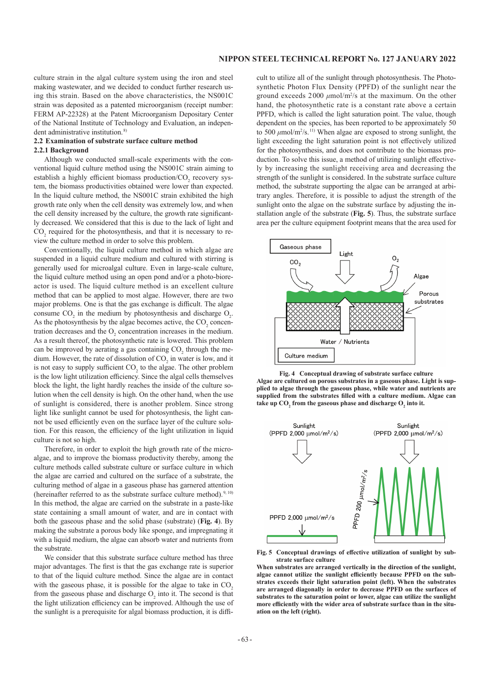culture strain in the algal culture system using the iron and steel making wastewater, and we decided to conduct further research using this strain. Based on the above characteristics, the NS001C strain was deposited as a patented microorganism (receipt number: FERM AP-22328) at the Patent Microorganism Depositary Center of the National Institute of Technology and Evaluation, an independent administrative institution.<sup>8)</sup>

#### **2.2 Examination of substrate surface culture method 2.2.1 Background**

Although we conducted small-scale experiments with the conventional liquid culture method using the NS001C strain aiming to establish a highly efficient biomass production/ $\mathrm{CO}_2$  recovery system, the biomass productivities obtained were lower than expected. In the liquid culture method, the NS001C strain exhibited the high growth rate only when the cell density was extremely low, and when the cell density increased by the culture, the growth rate significantly decreased. We considered that this is due to the lack of light and  $\text{CO}_2$  required for the photosynthesis, and that it is necessary to review the culture method in order to solve this problem.

Conventionally, the liquid culture method in which algae are suspended in a liquid culture medium and cultured with stirring is generally used for microalgal culture. Even in large-scale culture, the liquid culture method using an open pond and/or a photo-bioreactor is used. The liquid culture method is an excellent culture method that can be applied to most algae. However, there are two major problems. One is that the gas exchange is difficult. The algae consume  $CO_2$  in the medium by photosynthesis and discharge  $O_2$ . As the photosynthesis by the algae becomes active, the  $CO_2$  concentration decreases and the  $O_2$  concentration increases in the medium. As a result thereof, the photosynthetic rate is lowered. This problem can be improved by aerating a gas containing  $CO_2$  through the medium. However, the rate of dissolution of  $CO_2$  in water is low, and it is not easy to supply sufficient  $CO_2$  to the algae. The other problem is the low light utilization efficiency. Since the algal cells themselves block the light, the light hardly reaches the inside of the culture solution when the cell density is high. On the other hand, when the use of sunlight is considered, there is another problem. Since strong light like sunlight cannot be used for photosynthesis, the light cannot be used efficiently even on the surface layer of the culture solution. For this reason, the efficiency of the light utilization in liquid culture is not so high.

Therefore, in order to exploit the high growth rate of the microalgae, and to improve the biomass productivity thereby, among the culture methods called substrate culture or surface culture in which the algae are carried and cultured on the surface of a substrate, the culturing method of algae in a gaseous phase has garnered attention (hereinafter referred to as the substrate surface culture method).  $9, 10$ In this method, the algae are carried on the substrate in a paste-like state containing a small amount of water, and are in contact with both the gaseous phase and the solid phase (substrate) (**Fig. 4**). By making the substrate a porous body like sponge, and impregnating it with a liquid medium, the algae can absorb water and nutrients from the substrate.

We consider that this substrate surface culture method has three major advantages. The first is that the gas exchange rate is superior to that of the liquid culture method. Since the algae are in contact with the gaseous phase, it is possible for the algae to take in CO<sub>2</sub> from the gaseous phase and discharge  $O_2$  into it. The second is that the light utilization efficiency can be improved. Although the use of the sunlight is a prerequisite for algal biomass production, it is difficult to utilize all of the sunlight through photosynthesis. The Photosynthetic Photon Flux Density (PPFD) of the sunlight near the ground exceeds  $2000 \mu \text{mol/m}^2/\text{s}$  at the maximum. On the other hand, the photosynthetic rate is a constant rate above a certain PPFD, which is called the light saturation point. The value, though dependent on the species, has been reported to be approximately 50 to 500  $\mu$ mol/m<sup>2</sup>/s.<sup>11)</sup> When algae are exposed to strong sunlight, the light exceeding the light saturation point is not effectively utilized for the photosynthesis, and does not contribute to the biomass production. To solve this issue, a method of utilizing sunlight effectively by increasing the sunlight receiving area and decreasing the strength of the sunlight is considered. In the substrate surface culture method, the substrate supporting the algae can be arranged at arbitrary angles. Therefore, it is possible to adjust the strength of the sunlight onto the algae on the substrate surface by adjusting the installation angle of the substrate (**Fig. 5**). Thus, the substrate surface area per the culture equipment footprint means that the area used for



**Fig. 4 Conceptual drawing of substrate surface culture Algae are cultured on porous substrates in a gaseous phase. Light is supplied to algae through the gaseous phase, while water and nutrients are supplied from the substrates filled with a culture medium. Algae can**  take up  $CO<sub>2</sub>$  from the gaseous phase and discharge  $O<sub>2</sub>$  into it.



**Fig. 5 Conceptual drawings of effective utilization of sunlight by substrate surface culture**

**When substrates are arranged vertically in the direction of the sunlight, algae cannot utilize the sunlight efficiently because PPFD on the substrates exceeds their light saturation point (left). When the substrates are arranged diagonally in order to decrease PPFD on the surfaces of substrates to the saturation point or lower, algae can utilize the sunlight more efficiently with the wider area of substrate surface than in the situation on the left (right).**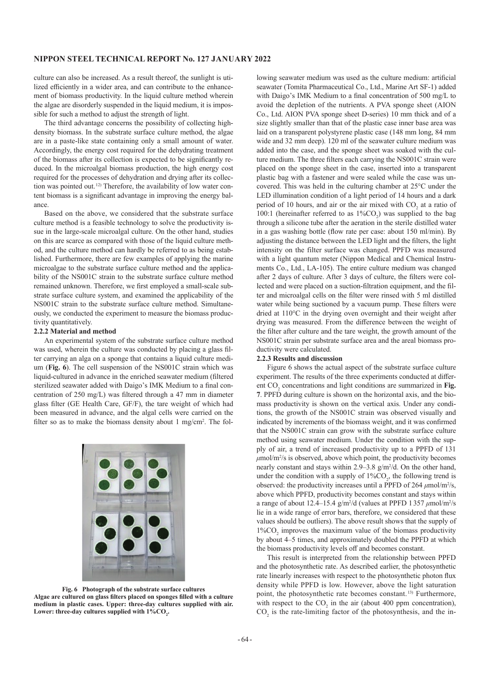## **NIPPON STEEL TECHNICAL REPORT No. 127 January 2022**

culture can also be increased. As a result thereof, the sunlight is utilized efficiently in a wider area, and can contribute to the enhancement of biomass productivity. In the liquid culture method wherein the algae are disorderly suspended in the liquid medium, it is impossible for such a method to adjust the strength of light.

The third advantage concerns the possibility of collecting highdensity biomass. In the substrate surface culture method, the algae are in a paste-like state containing only a small amount of water. Accordingly, the energy cost required for the dehydrating treatment of the biomass after its collection is expected to be significantly reduced. In the microalgal biomass production, the high energy cost required for the processes of dehydration and drying after its collection was pointed out.12) Therefore, the availability of low water content biomass is a significant advantage in improving the energy balance.

Based on the above, we considered that the substrate surface culture method is a feasible technology to solve the productivity issue in the large-scale microalgal culture. On the other hand, studies on this are scarce as compared with those of the liquid culture method, and the culture method can hardly be referred to as being established. Furthermore, there are few examples of applying the marine microalgae to the substrate surface culture method and the applicability of the NS001C strain to the substrate surface culture method remained unknown. Therefore, we first employed a small-scale substrate surface culture system, and examined the applicability of the NS001C strain to the substrate surface culture method. Simultaneously, we conducted the experiment to measure the biomass productivity quantitatively.

#### **2.2.2 Material and method**

An experimental system of the substrate surface culture method was used, wherein the culture was conducted by placing a glass filter carrying an alga on a sponge that contains a liquid culture medium (**Fig. 6**). The cell suspension of the NS001C strain which was liquid-cultured in advance in the enriched seawater medium (filtered sterilized seawater added with Daigo's IMK Medium to a final concentration of 250 mg/L) was filtered through a 47 mm in diameter glass filter (GE Health Care, GF/F), the tare weight of which had been measured in advance, and the algal cells were carried on the filter so as to make the biomass density about 1 mg/cm<sup>2</sup>. The fol-



**Fig. 6 Photograph of the substrate surface cultures Algae are cultured on glass filters placed on sponges filled with a culture medium in plastic cases. Upper: three-day cultures supplied with air.**  Lower: three-day cultures supplied with  $1\% \text{CO}_2$ .

lowing seawater medium was used as the culture medium: artificial seawater (Tomita Pharmaceutical Co., Ltd., Marine Art SF-1) added with Daigo's IMK Medium to a final concentration of 500 mg/L to avoid the depletion of the nutrients. A PVA sponge sheet (AION Co., Ltd. AION PVA sponge sheet D-series) 10 mm thick and of a size slightly smaller than that of the plastic case inner base area was laid on a transparent polystyrene plastic case (148 mm long, 84 mm wide and 32 mm deep). 120 ml of the seawater culture medium was added into the case, and the sponge sheet was soaked with the culture medium. The three filters each carrying the NS001C strain were placed on the sponge sheet in the case, inserted into a transparent plastic bag with a fastener and were sealed while the case was uncovered. This was held in the culturing chamber at 25°C under the LED illumination condition of a light period of 14 hours and a dark period of 10 hours, and air or the air mixed with  $CO_2$  at a ratio of 100:1 (hereinafter referred to as  $1\%CO<sub>2</sub>$ ) was supplied to the bag through a silicone tube after the aeration in the sterile distilled water in a gas washing bottle (flow rate per case: about 150 ml/min). By adjusting the distance between the LED light and the filters, the light intensity on the filter surface was changed. PPFD was measured with a light quantum meter (Nippon Medical and Chemical Instruments Co., Ltd., LA-105). The entire culture medium was changed after 2 days of culture. After 3 days of culture, the filters were collected and were placed on a suction-filtration equipment, and the filter and microalgal cells on the filter were rinsed with 5 ml distilled water while being suctioned by a vacuum pump. These filters were dried at 110°C in the drying oven overnight and their weight after drying was measured. From the difference between the weight of the filter after culture and the tare weight, the growth amount of the NS001C strain per substrate surface area and the areal biomass productivity were calculated.

### **2.2.3 Results and discussion**

Figure 6 shows the actual aspect of the substrate surface culture experiment. The results of the three experiments conducted at different CO<sub>2</sub> concentrations and light conditions are summarized in Fig. **7**. PPFD during culture is shown on the horizontal axis, and the biomass productivity is shown on the vertical axis. Under any conditions, the growth of the NS001C strain was observed visually and indicated by increments of the biomass weight, and it was confirmed that the NS001C strain can grow with the substrate surface culture method using seawater medium. Under the condition with the supply of air, a trend of increased productivity up to a PPFD of 131  $\mu$ mol/m<sup>2</sup>/s is observed, above which point, the productivity becomes nearly constant and stays within  $2.9 - 3.8$  g/m<sup>2</sup>/d. On the other hand, under the condition with a supply of  $1\%CO_2$ , the following trend is observed: the productivity increases until a PPFD of 264 μmol/m<sup>2</sup>/s, above which PPFD, productivity becomes constant and stays within a range of about 12.4–15.4  $g/m^2/d$  (values at PPFD 1357  $\mu$ mol/m<sup>2</sup>/s lie in a wide range of error bars, therefore, we considered that these values should be outliers). The above result shows that the supply of  $1\%CO<sub>2</sub>$  improves the maximum value of the biomass productivity by about 4–5 times, and approximately doubled the PPFD at which the biomass productivity levels off and becomes constant.

This result is interpreted from the relationship between PPFD and the photosynthetic rate. As described earlier, the photosynthetic rate linearly increases with respect to the photosynthetic photon flux density while PPFD is low. However, above the light saturation point, the photosynthetic rate becomes constant.13) Furthermore, with respect to the  $CO_2$  in the air (about 400 ppm concentration),  $CO<sub>2</sub>$  is the rate-limiting factor of the photosynthesis, and the in-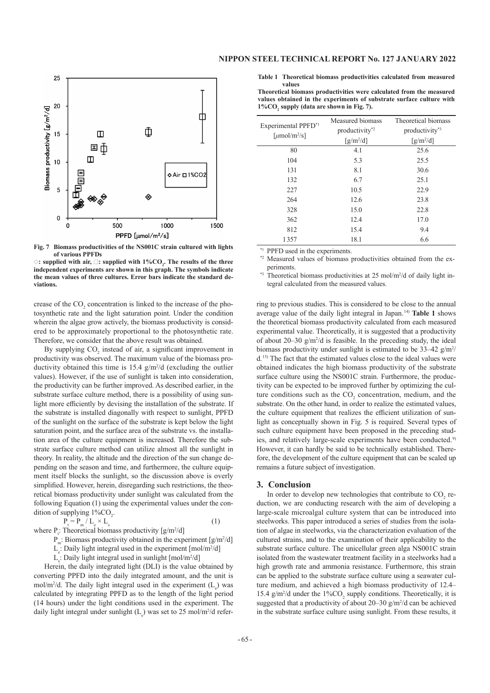

**Fig. 7 Biomass productivities of the NS001C strain cultured with lights of various PPFDs**

◇**: supplied with air,** □**: supplied with 1%CO<sup>2</sup> . The results of the three independent experiments are shown in this graph. The symbols indicate the mean values of three cultures. Error bars indicate the standard deviations.**

crease of the  $CO_2$  concentration is linked to the increase of the photosynthetic rate and the light saturation point. Under the condition wherein the algae grow actively, the biomass productivity is considered to be approximately proportional to the photosynthetic rate. Therefore, we consider that the above result was obtained.

By supplying  $CO<sub>2</sub>$  instead of air, a significant improvement in productivity was observed. The maximum value of the biomass productivity obtained this time is  $15.4$  g/m<sup>2</sup>/d (excluding the outlier values). However, if the use of sunlight is taken into consideration, the productivity can be further improved. As described earlier, in the substrate surface culture method, there is a possibility of using sunlight more efficiently by devising the installation of the substrate. If the substrate is installed diagonally with respect to sunlight, PPFD of the sunlight on the surface of the substrate is kept below the light saturation point, and the surface area of the substrate vs. the installation area of the culture equipment is increased. Therefore the substrate surface culture method can utilize almost all the sunlight in theory. In reality, the altitude and the direction of the sun change depending on the season and time, and furthermore, the culture equipment itself blocks the sunlight, so the discussion above is overly simplified. However, herein, disregarding such restrictions, the theoretical biomass productivity under sunlight was calculated from the following Equation (1) using the experimental values under the condition of supplying  $1\%CO_{2}$ .

 $P_t = P_m / L_e \times L_s$ 

$$
\tag{1}
$$

where  $P_i$ : Theoretical biomass productivity [g/m<sup>2</sup>/d]

 $P_m$ : Biomass productivity obtained in the experiment [g/m<sup>2</sup>/d]

 $L_c$ : Daily light integral used in the experiment [mol/m<sup>2</sup>/d]

 $L<sub>s</sub>$ : Daily light integral used in sunlight [mol/m<sup>2</sup>/d]

Herein, the daily integrated light (DLI) is the value obtained by converting PPFD into the daily integrated amount, and the unit is mol/m<sup>2</sup>/d. The daily light integral used in the experiment  $(L_e)$  was calculated by integrating PPFD as to the length of the light period (14 hours) under the light conditions used in the experiment. The daily light integral under sunlight  $(L<sub>s</sub>)$  was set to 25 mol/m<sup>2</sup>/d refer**Table 1 Theoretical biomass productivities calculated from measured values**

**Theoretical biomass productivities were calculated from the measured values obtained in the experiments of substrate surface culture with 1%CO<sup>2</sup> supply (data are shown in Fig. 7).** 

| Experimental PPFD <sup>*1</sup><br>[ $\mu$ mol/m <sup>2</sup> /s] | Measured biomass<br>productivity <sup>*2</sup> | Theoretical biomass<br>productivity <sup>*3</sup> |
|-------------------------------------------------------------------|------------------------------------------------|---------------------------------------------------|
|                                                                   | $\left[\frac{g}{m^2/d}\right]$                 | $\left[\frac{g}{m^2/d}\right]$                    |
|                                                                   |                                                |                                                   |
| 80                                                                | 4.1                                            | 25.6                                              |
| 104                                                               | 5.3                                            | 25.5                                              |
| 131                                                               | 8.1                                            | 30.6                                              |
| 132                                                               | 6.7                                            | 25.1                                              |
| 227                                                               | 10.5                                           | 22.9                                              |
| 264                                                               | 12.6                                           | 23.8                                              |
| 328                                                               | 15.0                                           | 22.8                                              |
| 362                                                               | 12.4                                           | 17.0                                              |
| 812                                                               | 15.4                                           | 9.4                                               |
| 1357                                                              | 18.1                                           | 6.6                                               |

<sup>\*1</sup> PPFD used in the experiments.

Measured values of biomass productivities obtained from the experiments.

\*<sup>3</sup> Theoretical biomass productivities at 25 mol/m<sup>2</sup>/d of daily light integral calculated from the measured values.

ring to previous studies. This is considered to be close to the annual average value of the daily light integral in Japan.14) **Table 1** shows the theoretical biomass productivity calculated from each measured experimental value. Theoretically, it is suggested that a productivity of about  $20-30$  g/m<sup>2</sup>/d is feasible. In the preceding study, the ideal biomass productivity under sunlight is estimated to be  $33-42$  g/m<sup>2</sup>/ d.15) The fact that the estimated values close to the ideal values were obtained indicates the high biomass productivity of the substrate surface culture using the NS001C strain. Furthermore, the productivity can be expected to be improved further by optimizing the culture conditions such as the  $CO_2$  concentration, medium, and the substrate. On the other hand, in order to realize the estimated values, the culture equipment that realizes the efficient utilization of sunlight as conceptually shown in Fig. 5 is required. Several types of such culture equipment have been proposed in the preceding studies, and relatively large-scale experiments have been conducted.<sup>9)</sup> However, it can hardly be said to be technically established. Therefore, the development of the culture equipment that can be scaled up remains a future subject of investigation.

### **3. Conclusion**

In order to develop new technologies that contribute to  $CO<sub>2</sub>$  reduction, we are conducting research with the aim of developing a large-scale microalgal culture system that can be introduced into steelworks. This paper introduced a series of studies from the isolation of algae in steelworks, via the characterization evaluation of the cultured strains, and to the examination of their applicability to the substrate surface culture. The unicellular green alga NS001C strain isolated from the wastewater treatment facility in a steelworks had a high growth rate and ammonia resistance. Furthermore, this strain can be applied to the substrate surface culture using a seawater culture medium, and achieved a high biomass productivity of 12.4– 15.4  $g/m^2/d$  under the 1%CO<sub>2</sub> supply conditions. Theoretically, it is suggested that a productivity of about  $20-30$  g/m<sup>2</sup>/d can be achieved in the substrate surface culture using sunlight. From these results, it